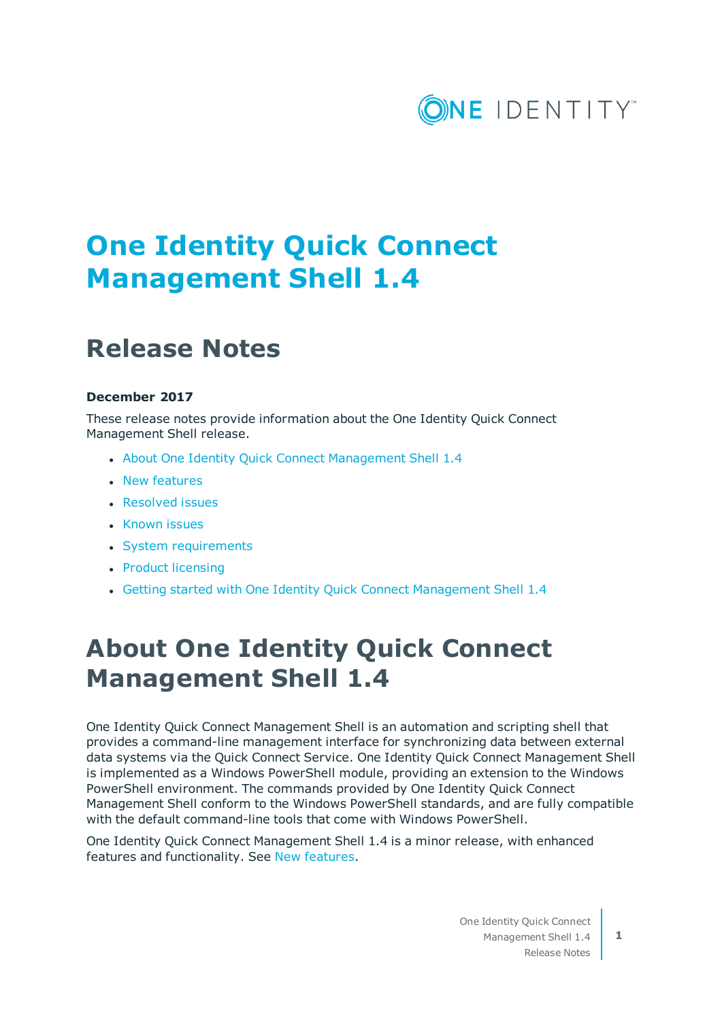

# **One Identity Quick Connect Management Shell 1.4**

## **Release Notes**

#### **December 2017**

These release notes provide information about the One Identity Quick Connect Management Shell release.

- About One Identity Quick Connect [Management](#page-0-0) Shell 1.4
- New [features](#page-1-0)
- [Resolved](#page-1-1) issues
- [Known](#page-1-2) issues
- System [requirements](#page-2-0)
- Product [licensing](#page-3-0)
- Getting started with One Identity Quick Connect [Management](#page-3-1) Shell 1.4

# <span id="page-0-0"></span>**About One Identity Quick Connect Management Shell 1.4**

One Identity Quick Connect Management Shell is an automation and scripting shell that provides a command-line management interface for synchronizing data between external data systems via the Quick Connect Service. One Identity Quick Connect Management Shell is implemented as a Windows PowerShell module, providing an extension to the Windows PowerShell environment. The commands provided by One Identity Quick Connect Management Shell conform to the Windows PowerShell standards, and are fully compatible with the default command-line tools that come with Windows PowerShell.

One Identity Quick Connect Management Shell 1.4 is a minor release, with enhanced features and functionality. See New [features](#page-1-0).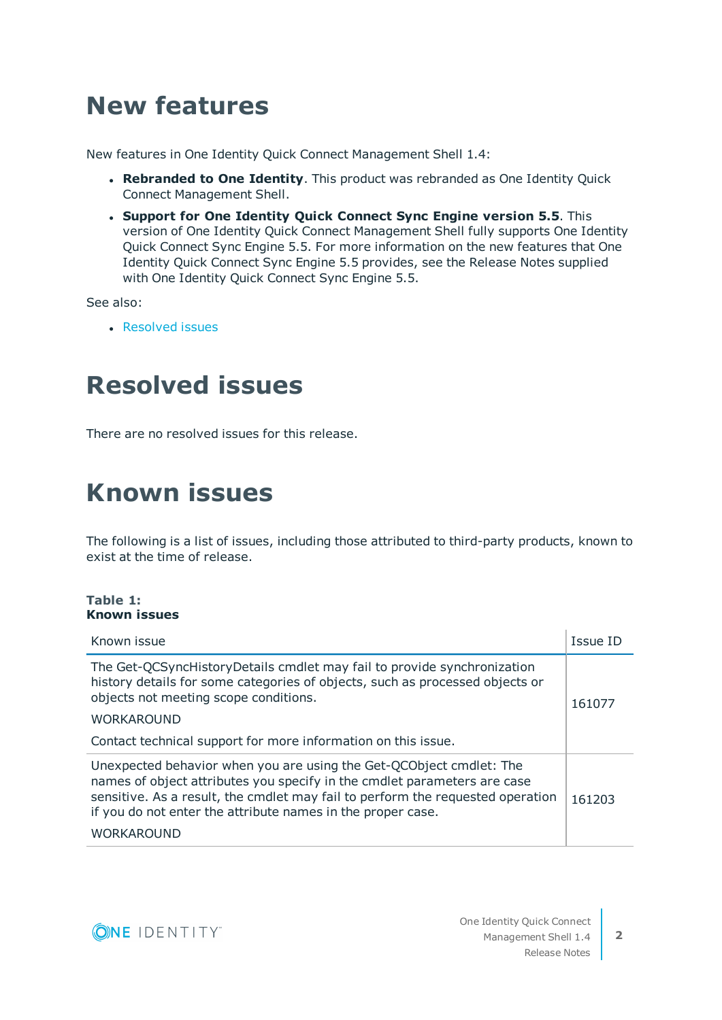# <span id="page-1-0"></span>**New features**

New features in One Identity Quick Connect Management Shell 1.4:

- <sup>l</sup> **Rebranded to One Identity**. This product was rebranded as One Identity Quick Connect Management Shell.
- <sup>l</sup> **Support for One Identity Quick Connect Sync Engine version 5.5**. This version of One Identity Quick Connect Management Shell fully supports One Identity Quick Connect Sync Engine 5.5. For more information on the new features that One Identity Quick Connect Sync Engine 5.5 provides, see the Release Notes supplied with One Identity Quick Connect Sync Engine 5.5.

See also:

**[Resolved](#page-1-1) issues** 

## <span id="page-1-1"></span>**Resolved issues**

<span id="page-1-2"></span>There are no resolved issues for this release.

## **Known issues**

The following is a list of issues, including those attributed to third-party products, known to exist at the time of release.

#### **Table 1: Known issues**

| Known issue                                                                                                                                                                                                                                                                                      | Issue ID |
|--------------------------------------------------------------------------------------------------------------------------------------------------------------------------------------------------------------------------------------------------------------------------------------------------|----------|
| The Get-QCSyncHistoryDetails cmdlet may fail to provide synchronization<br>history details for some categories of objects, such as processed objects or<br>objects not meeting scope conditions.<br><b>WORKAROUND</b><br>Contact technical support for more information on this issue.           | 161077   |
| Unexpected behavior when you are using the Get-QCObject cmdlet: The<br>names of object attributes you specify in the cmdlet parameters are case<br>sensitive. As a result, the cmdlet may fail to perform the requested operation<br>if you do not enter the attribute names in the proper case. | 161203   |
| <b>WORKAROUND</b>                                                                                                                                                                                                                                                                                |          |

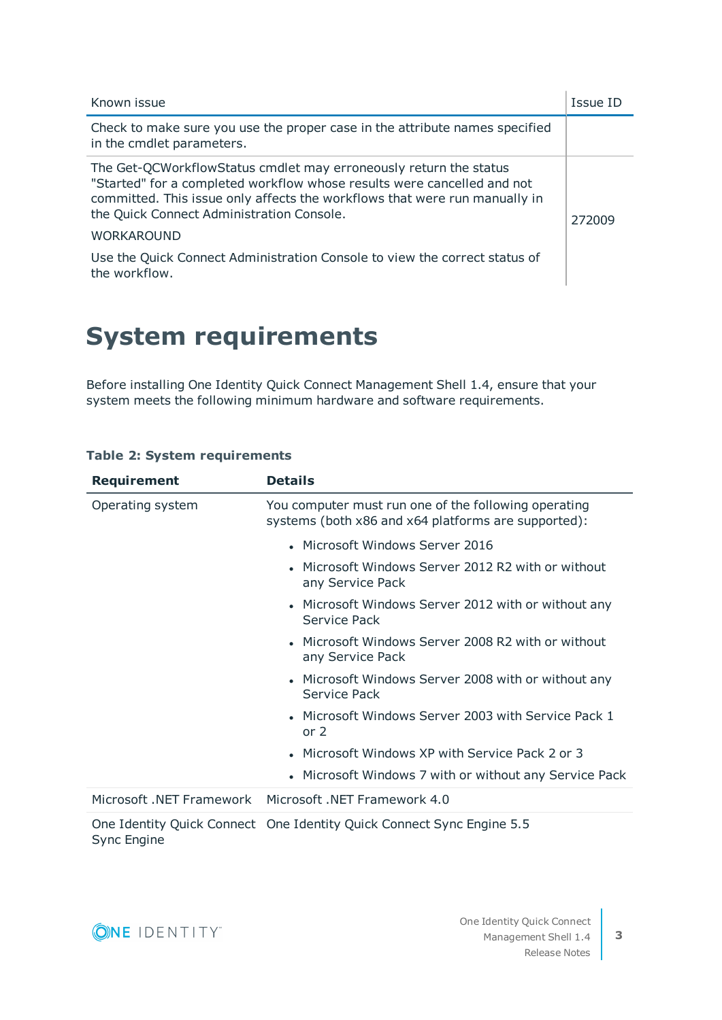| Known issue                                                                                                                                                                                                                                                                                  | <b>Issue ID</b> |
|----------------------------------------------------------------------------------------------------------------------------------------------------------------------------------------------------------------------------------------------------------------------------------------------|-----------------|
| Check to make sure you use the proper case in the attribute names specified<br>in the cmdlet parameters.                                                                                                                                                                                     |                 |
| The Get-QCWorkflowStatus cmdlet may erroneously return the status<br>"Started" for a completed workflow whose results were cancelled and not<br>committed. This issue only affects the workflows that were run manually in<br>the Quick Connect Administration Console.<br><b>WORKAROUND</b> | 272009          |
| Use the Quick Connect Administration Console to view the correct status of<br>the workflow.                                                                                                                                                                                                  |                 |

# <span id="page-2-0"></span>**System requirements**

Before installing One Identity Quick Connect Management Shell 1.4, ensure that your system meets the following minimum hardware and software requirements.

| <b>Requirement</b>       | <b>Details</b>                                                                                              |
|--------------------------|-------------------------------------------------------------------------------------------------------------|
| Operating system         | You computer must run one of the following operating<br>systems (both x86 and x64 platforms are supported): |
|                          | • Microsoft Windows Server 2016                                                                             |
|                          | • Microsoft Windows Server 2012 R2 with or without<br>any Service Pack                                      |
|                          | • Microsoft Windows Server 2012 with or without any<br>Service Pack                                         |
|                          | • Microsoft Windows Server 2008 R2 with or without<br>any Service Pack                                      |
|                          | • Microsoft Windows Server 2008 with or without any<br>Service Pack                                         |
|                          | • Microsoft Windows Server 2003 with Service Pack 1<br>or $2$                                               |
|                          | • Microsoft Windows XP with Service Pack 2 or 3                                                             |
|                          | • Microsoft Windows 7 with or without any Service Pack                                                      |
| Microsoft .NET Framework | Microsoft .NET Framework 4.0                                                                                |
|                          |                                                                                                             |

#### **Table 2: System requirements**

One Identity Quick Connect One Identity Quick Connect Sync Engine 5.5 Sync Engine

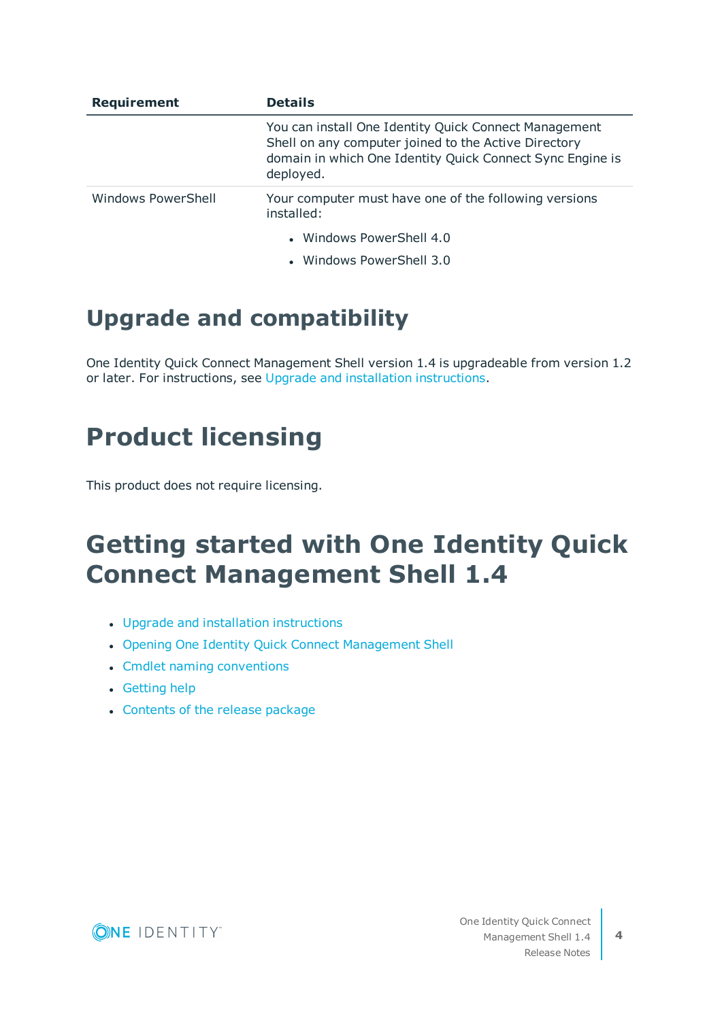| <b>Requirement</b> | <b>Details</b>                                                                                                                                                                          |
|--------------------|-----------------------------------------------------------------------------------------------------------------------------------------------------------------------------------------|
|                    | You can install One Identity Quick Connect Management<br>Shell on any computer joined to the Active Directory<br>domain in which One Identity Quick Connect Sync Engine is<br>deployed. |
| Windows PowerShell | Your computer must have one of the following versions<br>installed:                                                                                                                     |
|                    | • Windows PowerShell 4.0                                                                                                                                                                |
|                    | • Windows PowerShell 3.0                                                                                                                                                                |

### **Upgrade and compatibility**

One Identity Quick Connect Management Shell version 1.4 is upgradeable from version 1.2 or later. For instructions, see Upgrade and installation [instructions](#page-4-0).

## <span id="page-3-0"></span>**Product licensing**

<span id="page-3-1"></span>This product does not require licensing.

# **Getting started with One Identity Quick Connect Management Shell 1.4**

- Upgrade and installation [instructions](#page-4-0)
- Opening One Identity Quick Connect [Management](#page-4-1) Shell
- Cmdlet naming [conventions](#page-5-0)
- $\cdot$  [Getting](#page-5-1) help
- [Contents](#page-6-0) of the release package

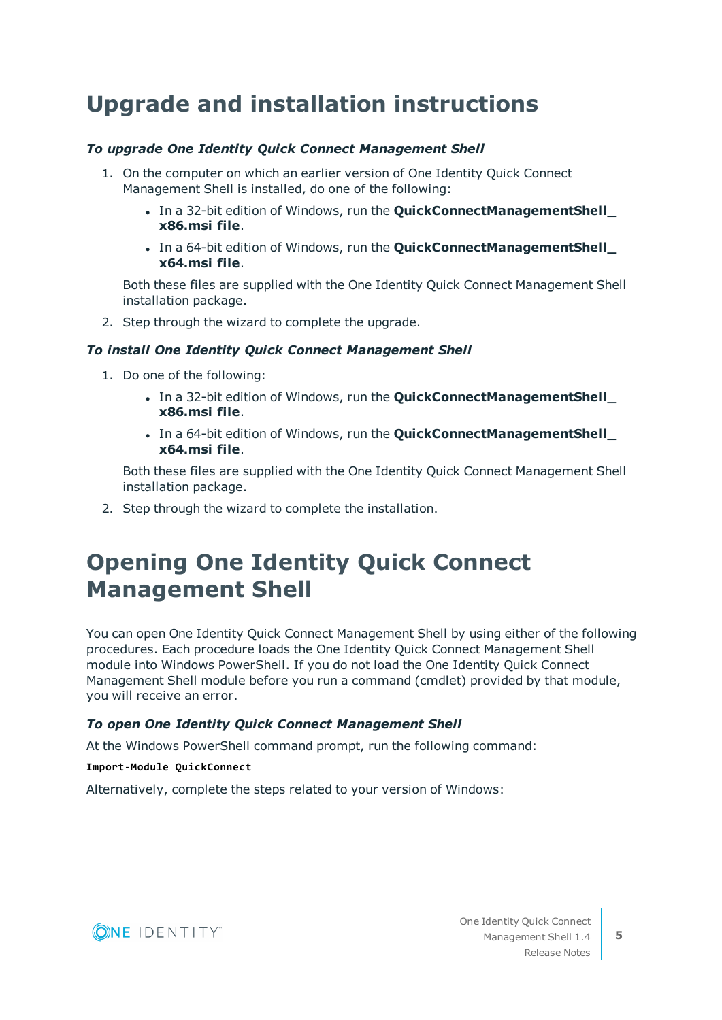### <span id="page-4-0"></span>**Upgrade and installation instructions**

#### *To upgrade One Identity Quick Connect Management Shell*

- 1. On the computer on which an earlier version of One Identity Quick Connect Management Shell is installed, do one of the following:
	- <sup>l</sup> In a 32-bit edition of Windows, run the **QuickConnectManagementShell\_ x86.msi file**.
	- <sup>l</sup> In a 64-bit edition of Windows, run the **QuickConnectManagementShell\_ x64.msi file**.

Both these files are supplied with the One Identity Quick Connect Management Shell installation package.

2. Step through the wizard to complete the upgrade.

#### *To install One Identity Quick Connect Management Shell*

- 1. Do one of the following:
	- <sup>l</sup> In a 32-bit edition of Windows, run the **QuickConnectManagementShell\_ x86.msi file**.
	- <sup>l</sup> In a 64-bit edition of Windows, run the **QuickConnectManagementShell\_ x64.msi file**.

Both these files are supplied with the One Identity Quick Connect Management Shell installation package.

<span id="page-4-1"></span>2. Step through the wizard to complete the installation.

### **Opening One Identity Quick Connect Management Shell**

You can open One Identity Quick Connect Management Shell by using either of the following procedures. Each procedure loads the One Identity Quick Connect Management Shell module into Windows PowerShell. If you do not load the One Identity Quick Connect Management Shell module before you run a command (cmdlet) provided by that module, you will receive an error.

#### *To open One Identity Quick Connect Management Shell*

At the Windows PowerShell command prompt, run the following command:

#### **Import-Module QuickConnect**

Alternatively, complete the steps related to your version of Windows:

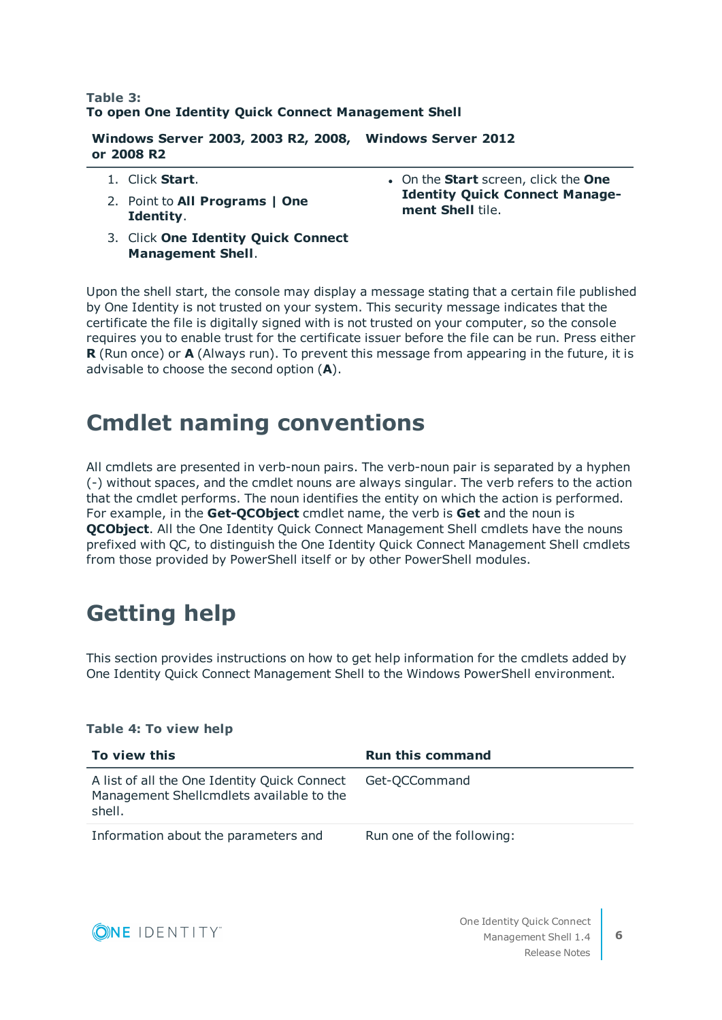#### **Table 3: To open One Identity Quick Connect Management Shell**

**Windows Server 2003, 2003 R2, 2008, Windows Server 2012 or 2008 R2**

- 1. Click **Start**.
- 2. Point to **All Programs | One Identity**.
- 3. Click **One Identity Quick Connect Management Shell**.
- <sup>l</sup> On the **Start** screen, click the **One Identity Quick Connect Management Shell** tile.

Upon the shell start, the console may display a message stating that a certain file published by One Identity is not trusted on your system. This security message indicates that the certificate the file is digitally signed with is not trusted on your computer, so the console requires you to enable trust for the certificate issuer before the file can be run. Press either **R** (Run once) or **A** (Always run). To prevent this message from appearing in the future, it is advisable to choose the second option (**A**).

### <span id="page-5-0"></span>**Cmdlet naming conventions**

All cmdlets are presented in verb-noun pairs. The verb-noun pair is separated by a hyphen (-) without spaces, and the cmdlet nouns are always singular. The verb refers to the action that the cmdlet performs. The noun identifies the entity on which the action is performed. For example, in the **Get-QCObject** cmdlet name, the verb is **Get** and the noun is **OCObject.** All the One Identity Ouick Connect Management Shell cmdlets have the nouns prefixed with QC, to distinguish the One Identity Quick Connect Management Shell cmdlets from those provided by PowerShell itself or by other PowerShell modules.

# <span id="page-5-1"></span>**Getting help**

This section provides instructions on how to get help information for the cmdlets added by One Identity Quick Connect Management Shell to the Windows PowerShell environment.

#### **Table 4: To view help**

| To view this                                                                                       | <b>Run this command</b>   |
|----------------------------------------------------------------------------------------------------|---------------------------|
| A list of all the One Identity Quick Connect<br>Management Shellcmdlets available to the<br>shell. | Get-QCCommand             |
| Information about the parameters and                                                               | Run one of the following: |

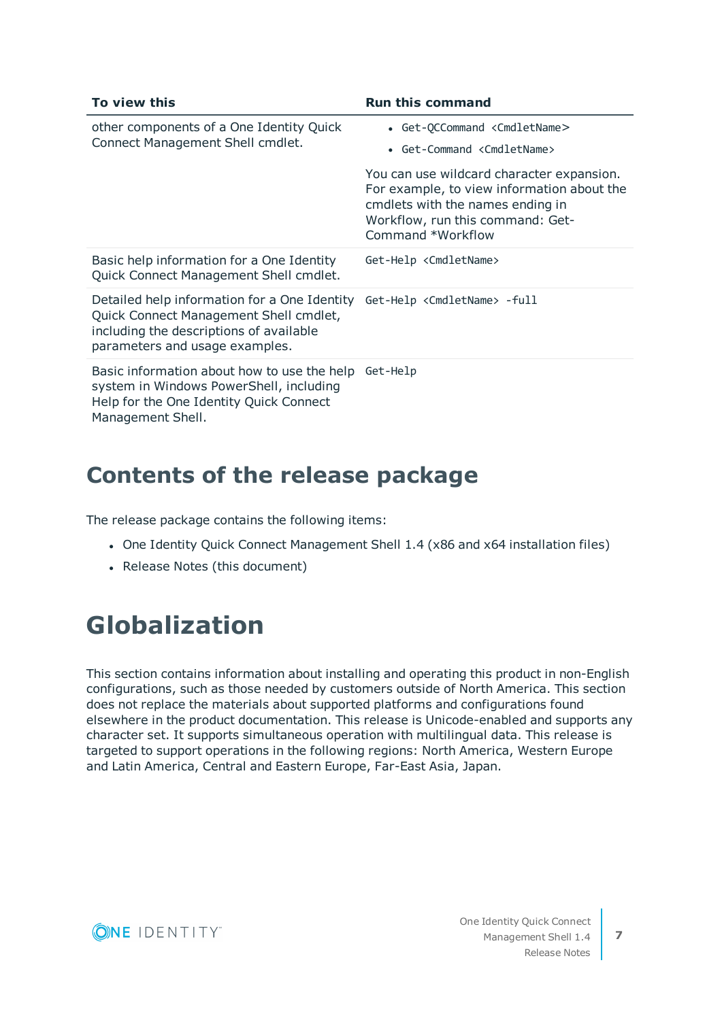| To view this                                                                                                                                                        | <b>Run this command</b>                                                                                                                                                              |
|---------------------------------------------------------------------------------------------------------------------------------------------------------------------|--------------------------------------------------------------------------------------------------------------------------------------------------------------------------------------|
| other components of a One Identity Quick<br>Connect Management Shell cmdlet.                                                                                        | • Get-QCCommand <cmdletname></cmdletname>                                                                                                                                            |
|                                                                                                                                                                     | • Get-Command <cmdletname></cmdletname>                                                                                                                                              |
|                                                                                                                                                                     | You can use wildcard character expansion.<br>For example, to view information about the<br>cmdlets with the names ending in<br>Workflow, run this command: Get-<br>Command *Workflow |
| Basic help information for a One Identity<br>Quick Connect Management Shell cmdlet.                                                                                 | Get-Help <cmdletname></cmdletname>                                                                                                                                                   |
| Detailed help information for a One Identity<br>Quick Connect Management Shell cmdlet,<br>including the descriptions of available<br>parameters and usage examples. | Get-Help <cmdletname> -full</cmdletname>                                                                                                                                             |
| Basic information about how to use the help<br>system in Windows PowerShell, including<br>Help for the One Identity Quick Connect<br>Management Shell.              | Get-Help                                                                                                                                                                             |

### <span id="page-6-0"></span>**Contents of the release package**

The release package contains the following items:

- One Identity Quick Connect Management Shell 1.4 (x86 and x64 installation files)
- Release Notes (this document)

## **Globalization**

This section contains information about installing and operating this product in non-English configurations, such as those needed by customers outside of North America. This section does not replace the materials about supported platforms and configurations found elsewhere in the product documentation. This release is Unicode-enabled and supports any character set. It supports simultaneous operation with multilingual data. This release is targeted to support operations in the following regions: North America, Western Europe and Latin America, Central and Eastern Europe, Far-East Asia, Japan.

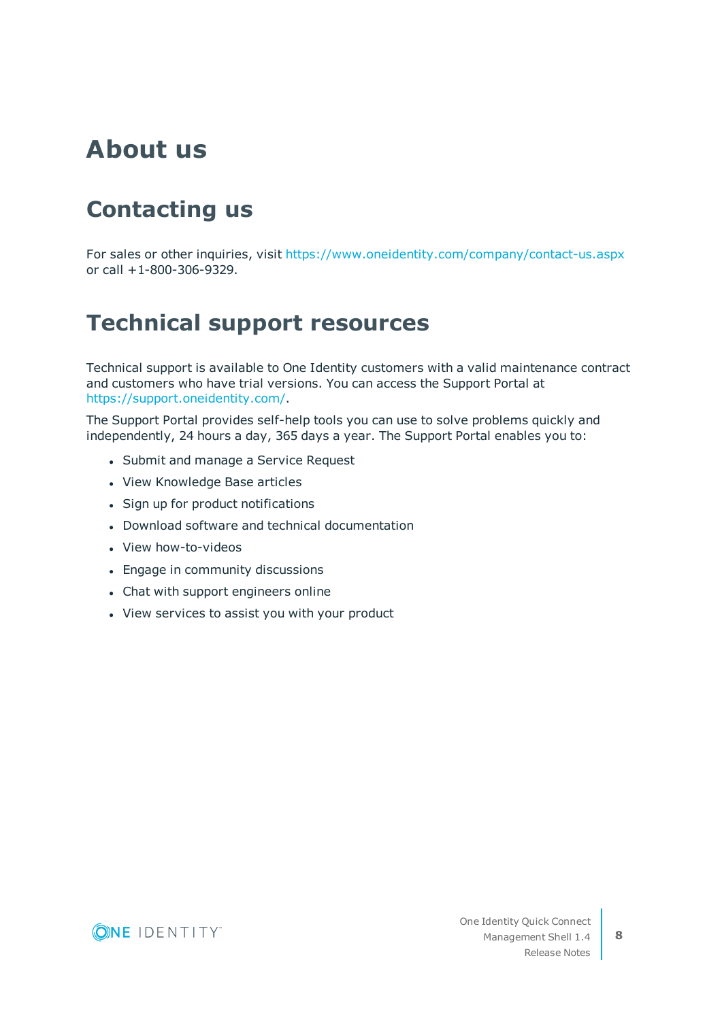## **About us**

## **Contacting us**

For sales or other inquiries, visit <https://www.oneidentity.com/company/contact-us.aspx> or call +1-800-306-9329.

### **Technical support resources**

Technical support is available to One Identity customers with a valid maintenance contract and customers who have trial versions. You can access the Support Portal at [https://support.oneidentity.com/.](https://support.oneidentity.com/)

The Support Portal provides self-help tools you can use to solve problems quickly and independently, 24 hours a day, 365 days a year. The Support Portal enables you to:

- Submit and manage a Service Request
- View Knowledge Base articles
- Sign up for product notifications
- Download software and technical documentation
- View how-to-videos
- Engage in community discussions
- Chat with support engineers online
- View services to assist you with your product

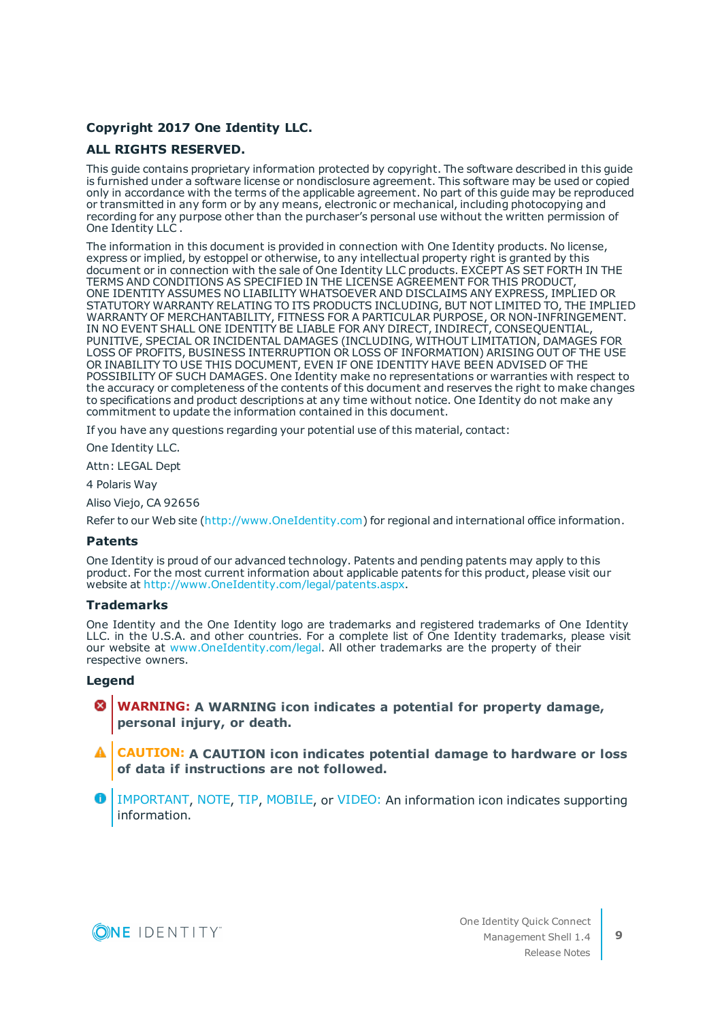#### **Copyright 2017 One Identity LLC.**

#### **ALL RIGHTS RESERVED.**

This guide contains proprietary information protected by copyright. The software described in this guide is furnished under a software license or nondisclosure agreement. This software may be used or copied only in accordance with the terms of the applicable agreement. No part of this guide may be reproduced or transmitted in any form or by any means, electronic or mechanical, including photocopying and recording for any purpose other than the purchaser's personal use without the written permission of One Identity LLC .

The information in this document is provided in connection with One Identity products. No license, express or implied, by estoppel or otherwise, to any intellectual property right is granted by this document or in connection with the sale of One Identity LLC products. EXCEPT AS SET FORTH IN THE TERMS AND CONDITIONS AS SPECIFIED IN THE LICENSE AGREEMENT FOR THIS PRODUCT, ONE IDENTITY ASSUMES NO LIABILITY WHATSOEVER AND DISCLAIMS ANY EXPRESS, IMPLIED OR STATUTORY WARRANTY RELATING TO ITS PRODUCTS INCLUDING, BUT NOT LIMITED TO, THE IMPLIED WARRANTY OF MERCHANTABILITY, FITNESS FOR A PARTICULAR PURPOSE, OR NON-INFRINGEMENT. IN NO EVENT SHALL ONE IDENTITY BE LIABLE FOR ANY DIRECT, INDIRECT, CONSEQUENTIAL, PUNITIVE, SPECIAL OR INCIDENTAL DAMAGES (INCLUDING, WITHOUT LIMITATION, DAMAGES FOR LOSS OF PROFITS, BUSINESS INTERRUPTION OR LOSS OF INFORMATION) ARISING OUT OF THE USE OR INABILITY TO USE THIS DOCUMENT, EVEN IF ONE IDENTITY HAVE BEEN ADVISED OF THE POSSIBILITY OF SUCH DAMAGES. One Identity make no representations or warranties with respect to the accuracy or completeness of the contents of this document and reserves the right to make changes to specifications and product descriptions at any time without notice. One Identity do not make any commitment to update the information contained in this document.

If you have any questions regarding your potential use of this material, contact:

One Identity LLC.

Attn: LEGAL Dept

4 Polaris Way

Aliso Viejo, CA 92656

Refer to our Web site [\(http://www.OneIdentity.com](http://www.oneidentity.com/)) for regional and international office information.

#### **Patents**

One Identity is proud of our advanced technology. Patents and pending patents may apply to this product. For the most current information about applicable patents for this product, please visit our website at [http://www.OneIdentity.com/legal/patents.aspx.](http://www.oneidentity.com/legal/patents.aspx)

#### **Trademarks**

One Identity and the One Identity logo are trademarks and registered trademarks of One Identity LLC. in the U.S.A. and other countries. For a complete list of One Identity trademarks, please visit our website at [www.OneIdentity.com/legal.](http://www.oneidentity.com/legal) All other trademarks are the property of their respective owners.

#### **Legend**

- **WARNING: A WARNING icon indicates a potential for property damage, personal injury, or death.**
- **CAUTION: A CAUTION icon indicates potential damage to hardware or loss of data if instructions are not followed.**
- IMPORTANT, NOTE, TIP, MOBILE, or VIDEO: An information icon indicates supporting information.